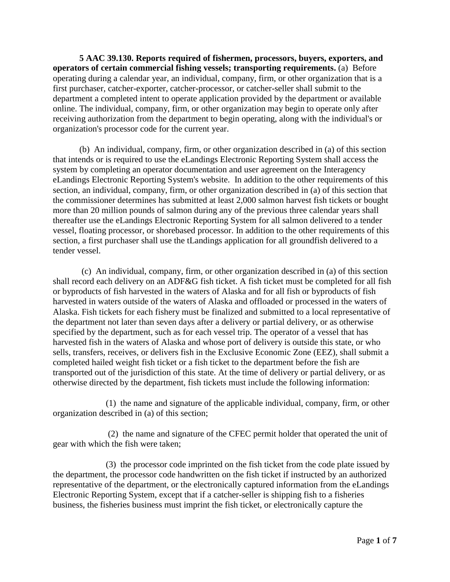**[5 AAC 39.130. Reports required of fishermen, processors, buyers, exporters, and](http://www.legis.state.ak.us/basis/folioproxy.asp?url=http://wwwjnu01.legis.state.ak.us/cgi-bin/folioisa.dll/aac/query=%5bGroup+!275+aac+39!2E130!27!3A%5d/doc/%7b@1%7d/hits_only?firsthit)  [operators of certain commercial fishing vessels; transporting requirements.](http://www.legis.state.ak.us/basis/folioproxy.asp?url=http://wwwjnu01.legis.state.ak.us/cgi-bin/folioisa.dll/aac/query=%5bGroup+!275+aac+39!2E130!27!3A%5d/doc/%7b@1%7d/hits_only?firsthit)** (a) Before operating during a calendar year, an individual, company, firm, or other organization that is a first purchaser, catcher-exporter, catcher-processor, or catcher-seller shall submit to the department a completed intent to operate application provided by the department or available online. The individual, company, firm, or other organization may begin to operate only after receiving authorization from the department to begin operating, along with the individual's or organization's processor code for the current year.

(b) An individual, company, firm, or other organization described in (a) of this section that intends or is required to use the eLandings Electronic Reporting System shall access the system by completing an operator documentation and user agreement on the Interagency eLandings Electronic Reporting System's website. In addition to the other requirements of this section, an individual, company, firm, or other organization described in (a) of this section that the commissioner determines has submitted at least 2,000 salmon harvest fish tickets or bought more than 20 million pounds of salmon during any of the previous three calendar years shall thereafter use the eLandings Electronic Reporting System for all salmon delivered to a tender vessel, floating processor, or shorebased processor. In addition to the other requirements of this section, a first purchaser shall use the tLandings application for all groundfish delivered to a tender vessel.

(c) An individual, company, firm, or other organization described in (a) of this section shall record each delivery on an ADF&G fish ticket. A fish ticket must be completed for all fish or byproducts of fish harvested in the waters of Alaska and for all fish or byproducts of fish harvested in waters outside of the waters of Alaska and offloaded or processed in the waters of Alaska. Fish tickets for each fishery must be finalized and submitted to a local representative of the department not later than seven days after a delivery or partial delivery, or as otherwise specified by the department, such as for each vessel trip. The operator of a vessel that has harvested fish in the waters of Alaska and whose port of delivery is outside this state, or who sells, transfers, receives, or delivers fish in the Exclusive Economic Zone (EEZ), shall submit a completed hailed weight fish ticket or a fish ticket to the department before the fish are transported out of the jurisdiction of this state. At the time of delivery or partial delivery, or as otherwise directed by the department, fish tickets must include the following information:

(1) the name and signature of the applicable individual, company, firm, or other organization described in (a) of this section;

(2) the name and signature of the CFEC permit holder that operated the unit of gear with which the fish were taken;

(3) the processor code imprinted on the fish ticket from the code plate issued by the department, the processor code handwritten on the fish ticket if instructed by an authorized representative of the department, or the electronically captured information from the eLandings Electronic Reporting System, except that if a catcher-seller is shipping fish to a fisheries business, the fisheries business must imprint the fish ticket, or electronically capture the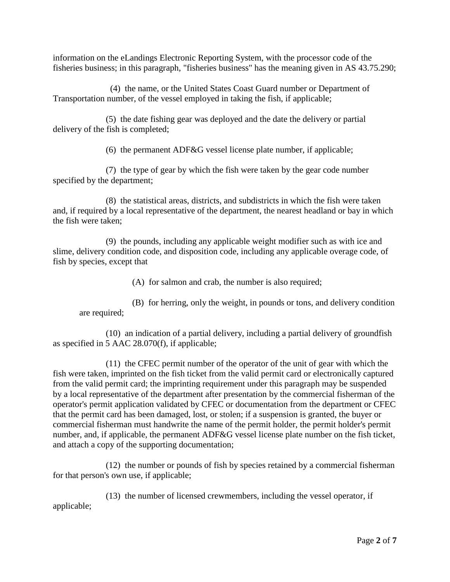information on the eLandings Electronic Reporting System, with the processor code of the fisheries business; in this paragraph, "fisheries business" has the meaning given in AS 43.75.290;

(4) the name, or the United States Coast Guard number or Department of Transportation number, of the vessel employed in taking the fish, if applicable;

(5) the date fishing gear was deployed and the date the delivery or partial delivery of the fish is completed;

(6) the permanent ADF&G vessel license plate number, if applicable;

(7) the type of gear by which the fish were taken by the gear code number specified by the department;

(8) the statistical areas, districts, and subdistricts in which the fish were taken and, if required by a local representative of the department, the nearest headland or bay in which the fish were taken;

(9) the pounds, including any applicable weight modifier such as with ice and slime, delivery condition code, and disposition code, including any applicable overage code, of fish by species, except that

(A) for salmon and crab, the number is also required;

(B) for herring, only the weight, in pounds or tons, and delivery condition are required;

(10) an indication of a partial delivery, including a partial delivery of groundfish as specified in 5 AAC 28.070(f), if applicable;

(11) the CFEC permit number of the operator of the unit of gear with which the fish were taken, imprinted on the fish ticket from the valid permit card or electronically captured from the valid permit card; the imprinting requirement under this paragraph may be suspended by a local representative of the department after presentation by the commercial fisherman of the operator's permit application validated by CFEC or documentation from the department or CFEC that the permit card has been damaged, lost, or stolen; if a suspension is granted, the buyer or commercial fisherman must handwrite the name of the permit holder, the permit holder's permit number, and, if applicable, the permanent ADF&G vessel license plate number on the fish ticket, and attach a copy of the supporting documentation;

(12) the number or pounds of fish by species retained by a commercial fisherman for that person's own use, if applicable;

(13) the number of licensed crewmembers, including the vessel operator, if applicable;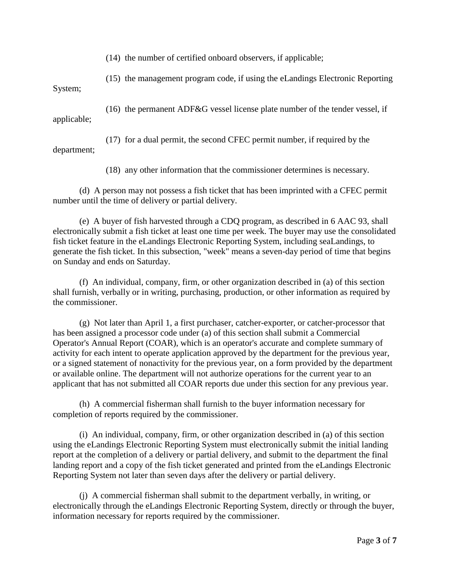(14) the number of certified onboard observers, if applicable;

(15) the management program code, if using the eLandings Electronic Reporting

System;

(16) the permanent ADF&G vessel license plate number of the tender vessel, if applicable;

(17) for a dual permit, the second CFEC permit number, if required by the department;

(18) any other information that the commissioner determines is necessary.

(d) A person may not possess a fish ticket that has been imprinted with a CFEC permit number until the time of delivery or partial delivery.

(e) A buyer of fish harvested through a CDQ program, as described in 6 AAC 93, shall electronically submit a fish ticket at least one time per week. The buyer may use the consolidated fish ticket feature in the eLandings Electronic Reporting System, including seaLandings, to generate the fish ticket. In this subsection, "week" means a seven-day period of time that begins on Sunday and ends on Saturday.

(f) An individual, company, firm, or other organization described in (a) of this section shall furnish, verbally or in writing, purchasing, production, or other information as required by the commissioner.

(g) Not later than April 1, a first purchaser, catcher-exporter, or catcher-processor that has been assigned a processor code under (a) of this section shall submit a Commercial Operator's Annual Report (COAR), which is an operator's accurate and complete summary of activity for each intent to operate application approved by the department for the previous year, or a signed statement of nonactivity for the previous year, on a form provided by the department or available online. The department will not authorize operations for the current year to an applicant that has not submitted all COAR reports due under this section for any previous year.

(h) A commercial fisherman shall furnish to the buyer information necessary for completion of reports required by the commissioner.

(i) An individual, company, firm, or other organization described in (a) of this section using the eLandings Electronic Reporting System must electronically submit the initial landing report at the completion of a delivery or partial delivery, and submit to the department the final landing report and a copy of the fish ticket generated and printed from the eLandings Electronic Reporting System not later than seven days after the delivery or partial delivery.

(j) A commercial fisherman shall submit to the department verbally, in writing, or electronically through the eLandings Electronic Reporting System, directly or through the buyer, information necessary for reports required by the commissioner.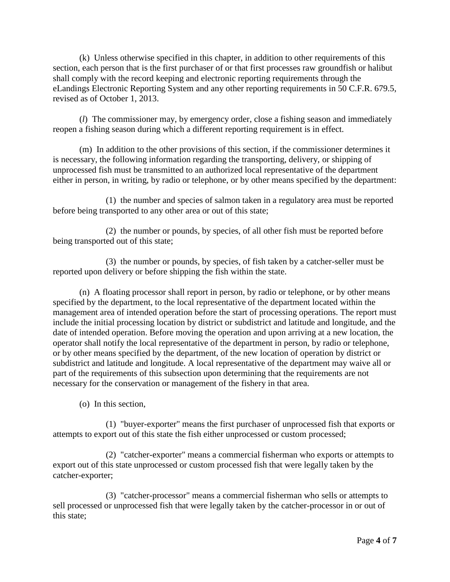(k) Unless otherwise specified in this chapter, in addition to other requirements of this section, each person that is the first purchaser of or that first processes raw groundfish or halibut shall comply with the record keeping and electronic reporting requirements through the eLandings Electronic Reporting System and any other reporting requirements in 50 C.F.R. 679.5, revised as of October 1, 2013.

(*l*) The commissioner may, by emergency order, close a fishing season and immediately reopen a fishing season during which a different reporting requirement is in effect.

(m) In addition to the other provisions of this section, if the commissioner determines it is necessary, the following information regarding the transporting, delivery, or shipping of unprocessed fish must be transmitted to an authorized local representative of the department either in person, in writing, by radio or telephone, or by other means specified by the department:

(1) the number and species of salmon taken in a regulatory area must be reported before being transported to any other area or out of this state;

(2) the number or pounds, by species, of all other fish must be reported before being transported out of this state;

(3) the number or pounds, by species, of fish taken by a catcher-seller must be reported upon delivery or before shipping the fish within the state.

(n) A floating processor shall report in person, by radio or telephone, or by other means specified by the department, to the local representative of the department located within the management area of intended operation before the start of processing operations. The report must include the initial processing location by district or subdistrict and latitude and longitude, and the date of intended operation. Before moving the operation and upon arriving at a new location, the operator shall notify the local representative of the department in person, by radio or telephone, or by other means specified by the department, of the new location of operation by district or subdistrict and latitude and longitude. A local representative of the department may waive all or part of the requirements of this subsection upon determining that the requirements are not necessary for the conservation or management of the fishery in that area.

(o) In this section,

(1) "buyer-exporter" means the first purchaser of unprocessed fish that exports or attempts to export out of this state the fish either unprocessed or custom processed;

(2) "catcher-exporter" means a commercial fisherman who exports or attempts to export out of this state unprocessed or custom processed fish that were legally taken by the catcher-exporter;

(3) "catcher-processor" means a commercial fisherman who sells or attempts to sell processed or unprocessed fish that were legally taken by the catcher-processor in or out of this state;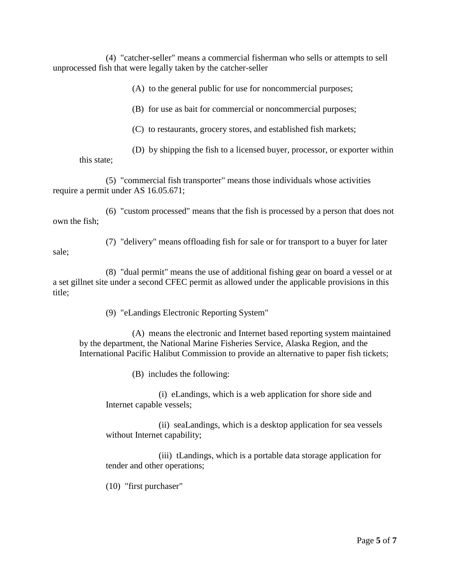(4) "catcher-seller" means a commercial fisherman who sells or attempts to sell unprocessed fish that were legally taken by the catcher-seller

(A) to the general public for use for noncommercial purposes;

(B) for use as bait for commercial or noncommercial purposes;

(C) to restaurants, grocery stores, and established fish markets;

(D) by shipping the fish to a licensed buyer, processor, or exporter within this state;

(5) "commercial fish transporter" means those individuals whose activities require a permit under AS 16.05.671;

(6) "custom processed" means that the fish is processed by a person that does not own the fish;

(7) "delivery" means offloading fish for sale or for transport to a buyer for later

(8) "dual permit" means the use of additional fishing gear on board a vessel or at a set gillnet site under a second CFEC permit as allowed under the applicable provisions in this title;

(9) "eLandings Electronic Reporting System"

(A) means the electronic and Internet based reporting system maintained by the department, the National Marine Fisheries Service, Alaska Region, and the International Pacific Halibut Commission to provide an alternative to paper fish tickets;

(B) includes the following:

(i) eLandings, which is a web application for shore side and Internet capable vessels;

(ii) seaLandings, which is a desktop application for sea vessels without Internet capability;

(iii) tLandings, which is a portable data storage application for tender and other operations;

(10) "first purchaser"

sale;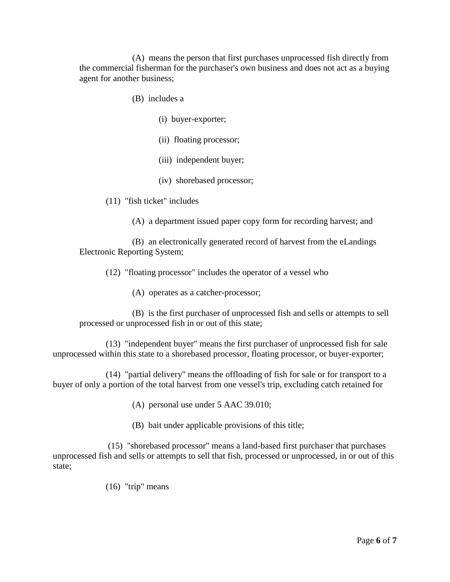(A) means the person that first purchases unprocessed fish directly from the commercial fisherman for the purchaser's own business and does not act as a buying agent for another business;

- (B) includes a
	- (i) buyer-exporter;
	- (ii) floating processor;
	- (iii) independent buyer;
	- (iv) shorebased processor;
- (11) "fish ticket" includes
	- (A) a department issued paper copy form for recording harvest; and

(B) an electronically generated record of harvest from the eLandings Electronic Reporting System;

(12) "floating processor" includes the operator of a vessel who

(A) operates as a catcher-processor;

(B) is the first purchaser of unprocessed fish and sells or attempts to sell processed or unprocessed fish in or out of this state;

(13) "independent buyer" means the first purchaser of unprocessed fish for sale unprocessed within this state to a shorebased processor, floating processor, or buyer-exporter;

(14) "partial delivery" means the offloading of fish for sale or for transport to a buyer of only a portion of the total harvest from one vessel's trip, excluding catch retained for

- (A) personal use under 5 AAC 39.010;
- (B) bait under applicable provisions of this title;

(15) "shorebased processor" means a land-based first purchaser that purchases unprocessed fish and sells or attempts to sell that fish, processed or unprocessed, in or out of this state;

(16) "trip" means